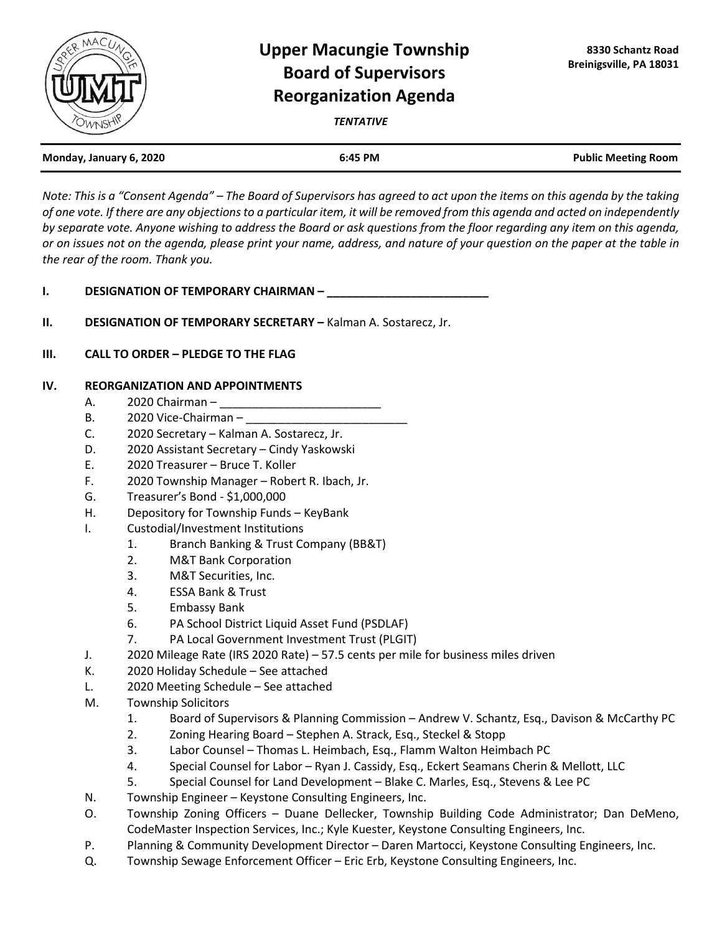

## **Upper Macungie Township Board of Supervisors Reorganization Agenda**

*TENTATIVE*

| Monday, January 6, 2020 | 6:45 PM | <b>Public Meeting Room</b> |
|-------------------------|---------|----------------------------|
|                         |         |                            |

*Note: This is a "Consent Agenda" – The Board of Supervisors has agreed to act upon the items on this agenda by the taking of one vote. If there are any objections to a particular item, it will be removed from this agenda and acted on independently by separate vote. Anyone wishing to address the Board or ask questions from the floor regarding any item on this agenda, or on issues not on the agenda, please print your name, address, and nature of your question on the paper at the table in the rear of the room. Thank you.*

**I. DESIGNATION OF TEMPORARY CHAIRMAN –** 

- **II. DESIGNATION OF TEMPORARY SECRETARY –** Kalman A. Sostarecz, Jr.
- **III. CALL TO ORDER – PLEDGE TO THE FLAG**

## **IV. REORGANIZATION AND APPOINTMENTS**

- A. 2020 Chairman –
- B. 2020 Vice-Chairman –
- C. 2020 Secretary Kalman A. Sostarecz, Jr.
- D. 2020 Assistant Secretary Cindy Yaskowski
- E. 2020 Treasurer Bruce T. Koller
- F. 2020 Township Manager Robert R. Ibach, Jr.
- G. Treasurer's Bond \$1,000,000
- H. Depository for Township Funds KeyBank
- I. Custodial/Investment Institutions
	- 1. Branch Banking & Trust Company (BB&T)
	- 2. M&T Bank Corporation
	- 3. M&T Securities, Inc.
	- 4. ESSA Bank & Trust
	- 5. Embassy Bank
	- 6. PA School District Liquid Asset Fund (PSDLAF)
	- 7. PA Local Government Investment Trust (PLGIT)
- J. 2020 Mileage Rate (IRS 2020 Rate) 57.5 cents per mile for business miles driven
- K. 2020 Holiday Schedule See attached
- L. 2020 Meeting Schedule See attached
- M. Township Solicitors
	- 1. Board of Supervisors & Planning Commission Andrew V. Schantz, Esq., Davison & McCarthy PC
	- 2. Zoning Hearing Board Stephen A. Strack, Esq., Steckel & Stopp
	- 3. Labor Counsel Thomas L. Heimbach, Esq., Flamm Walton Heimbach PC
	- 4. Special Counsel for Labor Ryan J. Cassidy, Esq., Eckert Seamans Cherin & Mellott, LLC
	- 5. Special Counsel for Land Development Blake C. Marles, Esq., Stevens & Lee PC
- N. Township Engineer Keystone Consulting Engineers, Inc.
- O. Township Zoning Officers Duane Dellecker, Township Building Code Administrator; Dan DeMeno, CodeMaster Inspection Services, Inc.; Kyle Kuester, Keystone Consulting Engineers, Inc.
- P. Planning & Community Development Director Daren Martocci, Keystone Consulting Engineers, Inc.
- Q. Township Sewage Enforcement Officer Eric Erb, Keystone Consulting Engineers, Inc.